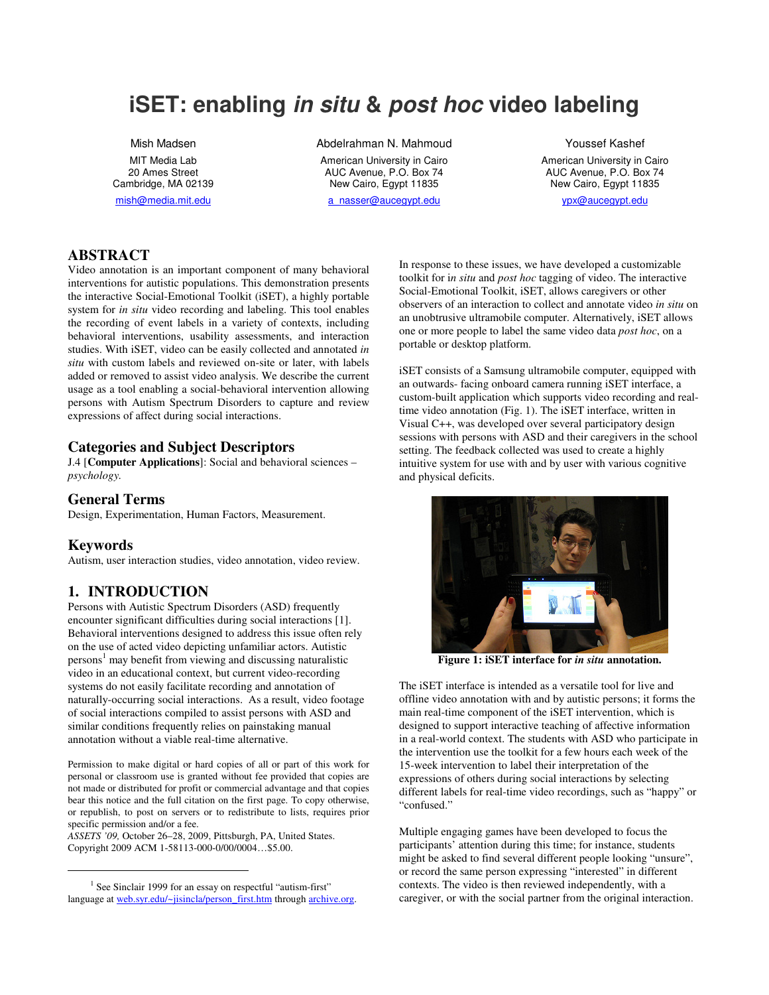# **iSET: enabling in situ & post hoc video labeling**

Mish Madsen MIT Media Lab 20 Ames Street Cambridge, MA 02139 mish@media.mit.edu

Abdelrahman N. Mahmoud American University in Cairo AUC Avenue, P.O. Box 74 New Cairo, Egypt 11835 a\_nasser@aucegypt.edu

Youssef Kashef American University in Cairo AUC Avenue, P.O. Box 74 New Cairo, Egypt 11835 ypx@aucegypt.edu

# **ABSTRACT**

Video annotation is an important component of many behavioral interventions for autistic populations. This demonstration presents the interactive Social-Emotional Toolkit (iSET), a highly portable system for *in situ* video recording and labeling. This tool enables the recording of event labels in a variety of contexts, including behavioral interventions, usability assessments, and interaction studies. With iSET, video can be easily collected and annotated *in situ* with custom labels and reviewed on-site or later, with labels added or removed to assist video analysis. We describe the current usage as a tool enabling a social-behavioral intervention allowing persons with Autism Spectrum Disorders to capture and review expressions of affect during social interactions.

#### **Categories and Subject Descriptors**

J.4 [**Computer Applications**]: Social and behavioral sciences – *psychology.*

#### **General Terms**

Design, Experimentation, Human Factors, Measurement.

#### **Keywords**

1

Autism, user interaction studies, video annotation, video review.

## **1. INTRODUCTION**

Persons with Autistic Spectrum Disorders (ASD) frequently encounter significant difficulties during social interactions [1]. Behavioral interventions designed to address this issue often rely on the use of acted video depicting unfamiliar actors. Autistic persons<sup>1</sup> may benefit from viewing and discussing naturalistic video in an educational context, but current video-recording systems do not easily facilitate recording and annotation of naturally-occurring social interactions. As a result, video footage of social interactions compiled to assist persons with ASD and similar conditions frequently relies on painstaking manual annotation without a viable real-time alternative.

Permission to make digital or hard copies of all or part of this work for personal or classroom use is granted without fee provided that copies are not made or distributed for profit or commercial advantage and that copies bear this notice and the full citation on the first page. To copy otherwise, or republish, to post on servers or to redistribute to lists, requires prior specific permission and/or a fee.

*ASSETS '09,* October 26–28, 2009, Pittsburgh, PA, United States. Copyright 2009 ACM 1-58113-000-0/00/0004…\$5.00.

<sup>1</sup> See Sinclair 1999 for an essay on respectful "autism-first" language at web.syr.edu/~jisincla/person\_first.htm through archive.org. In response to these issues, we have developed a customizable toolkit for i*n situ* and *post hoc* tagging of video. The interactive Social-Emotional Toolkit, iSET, allows caregivers or other observers of an interaction to collect and annotate video *in situ* on an unobtrusive ultramobile computer. Alternatively, iSET allows one or more people to label the same video data *post hoc*, on a portable or desktop platform.

iSET consists of a Samsung ultramobile computer, equipped with an outwards- facing onboard camera running iSET interface, a custom-built application which supports video recording and realtime video annotation (Fig. 1). The iSET interface, written in Visual C++, was developed over several participatory design sessions with persons with ASD and their caregivers in the school setting. The feedback collected was used to create a highly intuitive system for use with and by user with various cognitive and physical deficits.



**Figure 1: iSET interface for** *in situ* **annotation.**

The iSET interface is intended as a versatile tool for live and offline video annotation with and by autistic persons; it forms the main real-time component of the iSET intervention, which is designed to support interactive teaching of affective information in a real-world context. The students with ASD who participate in the intervention use the toolkit for a few hours each week of the 15-week intervention to label their interpretation of the expressions of others during social interactions by selecting different labels for real-time video recordings, such as "happy" or "confused."

Multiple engaging games have been developed to focus the participants' attention during this time; for instance, students might be asked to find several different people looking "unsure", or record the same person expressing "interested" in different contexts. The video is then reviewed independently, with a caregiver, or with the social partner from the original interaction.